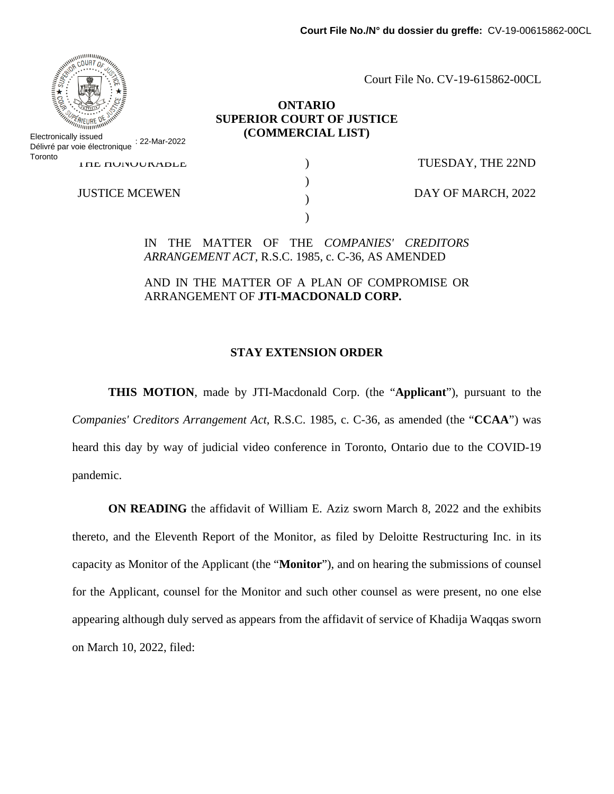

### **ONTARIO SUPERIOR COURT OF JUSTICE (COMMERCIAL LIST)**

**I HE HUNUURABLE** Electronically issued Délivré par voie électronique : 22-Mar-2022 **Toronto** 

JUSTICE MCEWEN

) )  $\lambda$ )

TUESDAY, THE 22ND

DAY OF MARCH, 2022

IN THE MATTER OF THE *COMPANIES' CREDITORS ARRANGEMENT ACT*, R.S.C. 1985, c. C-36, AS AMENDED

AND IN THE MATTER OF A PLAN OF COMPROMISE OR ARRANGEMENT OF **JTI-MACDONALD CORP.**

#### **STAY EXTENSION ORDER**

**THIS MOTION**, made by JTI-Macdonald Corp. (the "**Applicant**"), pursuant to the *Companies' Creditors Arrangement Act*, R.S.C. 1985, c. C-36, as amended (the "**CCAA**") was heard this day by way of judicial video conference in Toronto, Ontario due to the COVID-19 pandemic.

**ON READING** the affidavit of William E. Aziz sworn March 8, 2022 and the exhibits thereto, and the Eleventh Report of the Monitor, as filed by Deloitte Restructuring Inc. in its capacity as Monitor of the Applicant (the "**Monitor**"), and on hearing the submissions of counsel for the Applicant, counsel for the Monitor and such other counsel as were present, no one else appearing although duly served as appears from the affidavit of service of Khadija Waqqas sworn on March 10, 2022, filed:

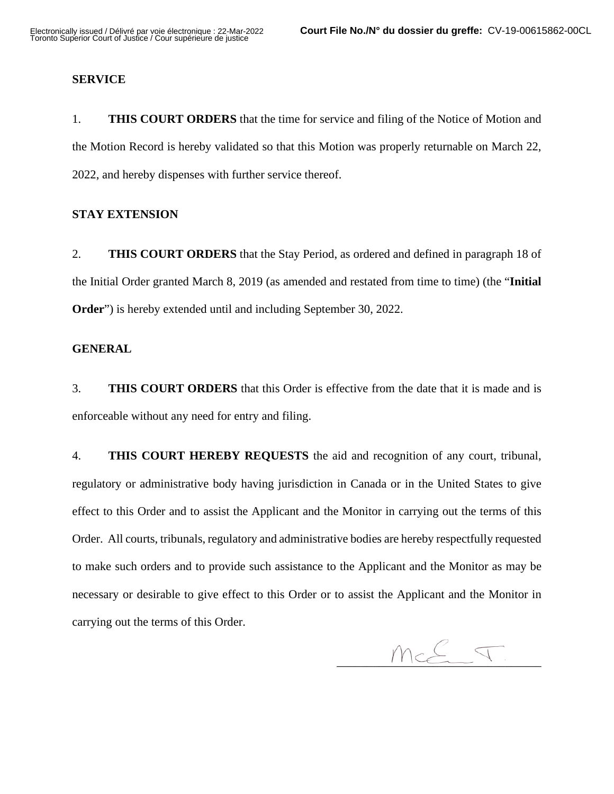#### **SERVICE**

1. **THIS COURT ORDERS** that the time for service and filing of the Notice of Motion and the Motion Record is hereby validated so that this Motion was properly returnable on March 22, 2022, and hereby dispenses with further service thereof.

#### **STAY EXTENSION**

2. **THIS COURT ORDERS** that the Stay Period, as ordered and defined in paragraph 18 of the Initial Order granted March 8, 2019 (as amended and restated from time to time) (the "**Initial Order**") is hereby extended until and including September 30, 2022.

#### **GENERAL**

3. **THIS COURT ORDERS** that this Order is effective from the date that it is made and is enforceable without any need for entry and filing.

4. **THIS COURT HEREBY REQUESTS** the aid and recognition of any court, tribunal, regulatory or administrative body having jurisdiction in Canada or in the United States to give effect to this Order and to assist the Applicant and the Monitor in carrying out the terms of this Order. All courts, tribunals, regulatory and administrative bodies are hereby respectfully requested to make such orders and to provide such assistance to the Applicant and the Monitor as may be necessary or desirable to give effect to this Order or to assist the Applicant and the Monitor in carrying out the terms of this Order.

 $Mc\stackrel{\mathcal{C}}{\longleftarrow}T.$